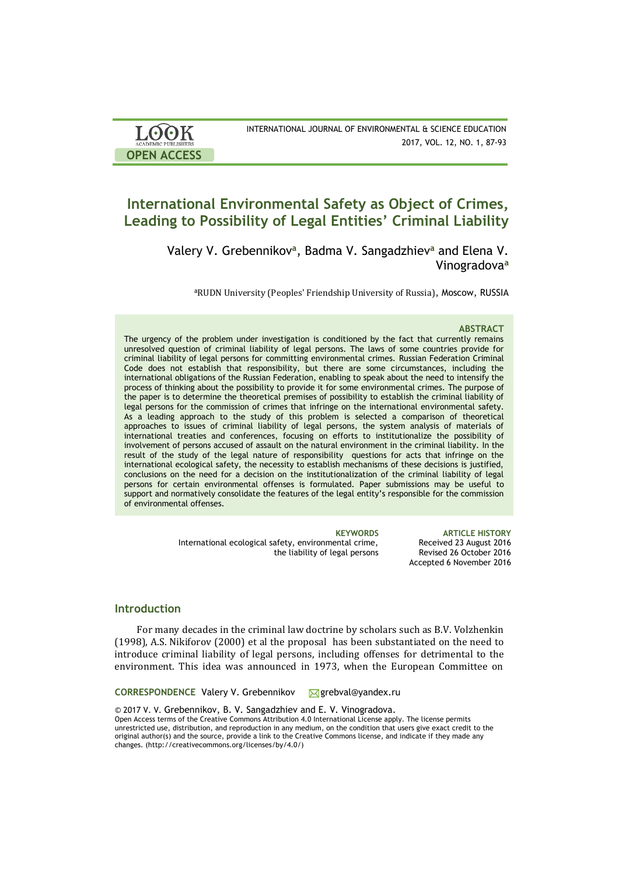| <b>LOOK</b>         | INTERNATIONAL JOURNAL OF ENVIRONMENTAL & SCIENCE EDUCATION |
|---------------------|------------------------------------------------------------|
| ACADEMIC PUBLISHERS | 2017, VOL. 12, NO. 1, 87-93                                |
| <b>OPEN ACCESS</b>  |                                                            |

# **International Environmental Safety as Object of Crimes, Leading to Possibility of Legal Entities' Criminal Liability**

Valery V. Grebennikov**<sup>a</sup>** , Badma V. Sangadzhiev**<sup>a</sup>** and Elena V. Vinogradova**<sup>a</sup>**

<sup>a</sup>RUDN University (Peoples' Friendship University of Russia), Moscow, RUSSIA

### **ABSTRACT**

The urgency of the problem under investigation is conditioned by the fact that currently remains unresolved question of criminal liability of legal persons. The laws of some countries provide for criminal liability of legal persons for committing environmental crimes. Russian Federation Criminal Code does not establish that responsibility, but there are some circumstances, including the international obligations of the Russian Federation, enabling to speak about the need to intensify the process of thinking about the possibility to provide it for some environmental crimes. The purpose of the paper is to determine the theoretical premises of possibility to establish the criminal liability of legal persons for the commission of crimes that infringe on the international environmental safety. As a leading approach to the study of this problem is selected a comparison of theoretical approaches to issues of criminal liability of legal persons, the system analysis of materials of international treaties and conferences, focusing on efforts to institutionalize the possibility of involvement of persons accused of assault on the natural environment in the criminal liability. In the result of the study of the legal nature of responsibility questions for acts that infringe on the international ecological safety, the necessity to establish mechanisms of these decisions is justified, conclusions on the need for a decision on the institutionalization of the criminal liability of legal persons for certain environmental offenses is formulated. Paper submissions may be useful to support and normatively consolidate the features of the legal entity's responsible for the commission of environmental offenses.

> International ecological safety, environmental crime, the liability of legal persons

**KEYWORDS ARTICLE HISTORY** Received 23 August 2016 Revised 26 October 2016 Accepted 6 November 2016

### **Introduction**

For many decades in the criminal law doctrine by scholars such as B.V. Volzhenkin (1998), A.S. Nikiforov (2000) et al the proposal has been substantiated on the need to introduce criminal liability of legal persons, including offenses for detrimental to the environment. This idea was announced in 1973, when the European Committee on

CORRESPONDENCE Valery V. Grebennikov **grebval@yandex.ru** 

© 2017 V. V. Grebennikov, B. V. Sangadzhiev and E. V. Vinogradova. Open Access terms of the Creative Commons Attribution 4.0 International License apply. The license permits unrestricted use, distribution, and reproduction in any medium, on the condition that users give exact credit to the original author(s) and the source, provide a link to the Creative Commons license, and indicate if they made any changes. (http://creativecommons.org/licenses/by/4.0/)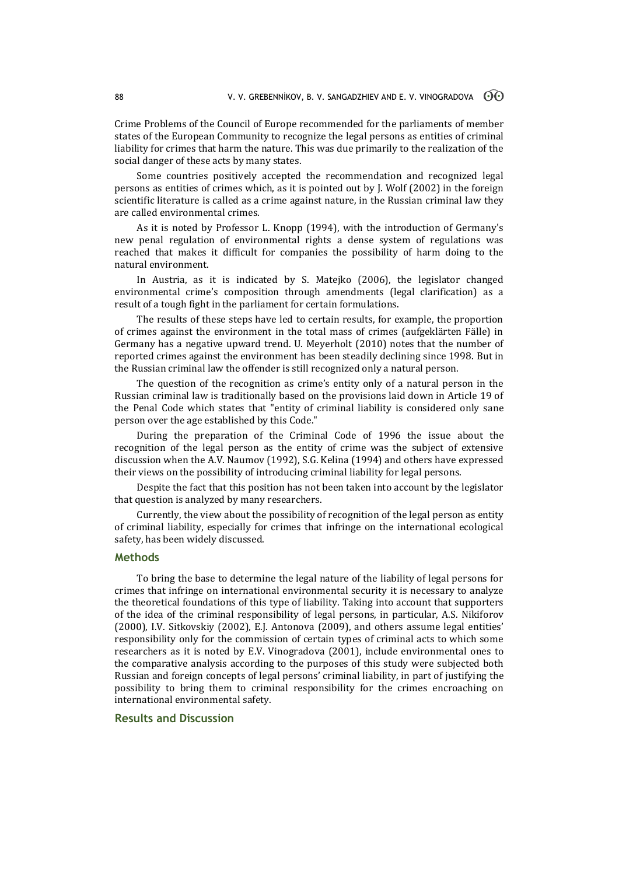Crime Problems of the Council of Europe recommended for the parliaments of member states of the European Community to recognize the legal persons as entities of criminal liability for crimes that harm the nature. This was due primarily to the realization of the social danger of these acts by many states.

Some countries positively accepted the recommendation and recognized legal persons as entities of crimes which, as it is pointed out by J. Wolf (2002) in the foreign scientific literature is called as a crime against nature, in the Russian criminal law they are called environmental crimes.

As it is noted by Professor L. Knopp (1994), with the introduction of Germany's new penal regulation of environmental rights a dense system of regulations was reached that makes it difficult for companies the possibility of harm doing to the natural environment.

In Austria, as it is indicated by S. Matejko (2006), the legislator changed environmental crime's composition through amendments (legal clarification) as a result of a tough fight in the parliament for certain formulations.

The results of these steps have led to certain results, for example, the proportion of crimes against the environment in the total mass of crimes (aufgeklärten Fälle) in Germany has a negative upward trend. U. Meyerholt (2010) notes that the number of reported crimes against the environment has been steadily declining since 1998. But in the Russian criminal law the offender is still recognized only a natural person.

The question of the recognition as crime's entity only of a natural person in the Russian criminal law is traditionally based on the provisions laid down in Article 19 of the Penal Code which states that "entity of criminal liability is considered only sane person over the age established by this Code."

During the preparation of the Criminal Code of 1996 the issue about the recognition of the legal person as the entity of crime was the subject of extensive discussion when the A.V. Naumov (1992), S.G. Kelina (1994) and others have expressed their views on the possibility of introducing criminal liability for legal persons.

Despite the fact that this position has not been taken into account by the legislator that question is analyzed by many researchers.

Currently, the view about the possibility of recognition of the legal person as entity of criminal liability, especially for crimes that infringe on the international ecological safety, has been widely discussed.

### **Methods**

To bring the base to determine the legal nature of the liability of legal persons for crimes that infringe on international environmental security it is necessary to analyze the theoretical foundations of this type of liability. Taking into account that supporters of the idea of the criminal responsibility of legal persons, in particular, A.S. Nikiforov (2000), I.V. Sitkovskiy (2002), E.J. Antonova (2009), and others assume legal entities' responsibility only for the commission of certain types of criminal acts to which some researchers as it is noted by E.V. Vinogradova (2001), include environmental ones to the comparative analysis according to the purposes of this study were subjected both Russian and foreign concepts of legal persons' criminal liability, in part of justifying the possibility to bring them to criminal responsibility for the crimes encroaching on international environmental safety.

### **Results and Discussion**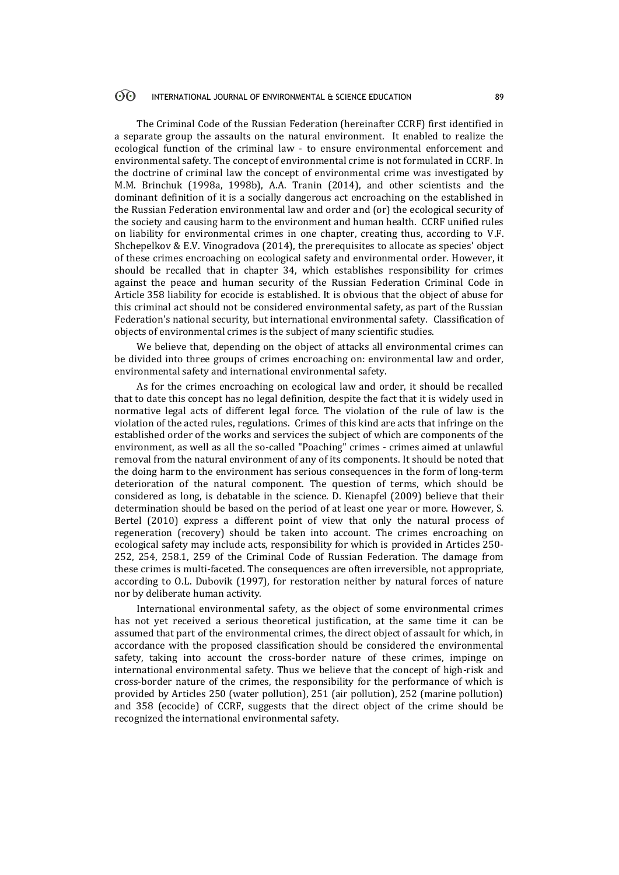#### $\odot$ INTERNATIONAL JOURNAL OF ENVIRONMENTAL & SCIENCE EDUCATION 89

The Criminal Code of the Russian Federation (hereinafter CCRF) first identified in a separate group the assaults on the natural environment. It enabled to realize the ecological function of the criminal law - to ensure environmental enforcement and environmental safety. The concept of environmental crime is not formulated in CCRF. In the doctrine of criminal law the concept of environmental crime was investigated by M.M. Brinchuk (1998a, 1998b), A.A. Tranin (2014), and other scientists and the dominant definition of it is a socially dangerous act encroaching on the established in the Russian Federation environmental law and order and (or) the ecological security of the society and causing harm to the environment and human health. CCRF unified rules on liability for environmental crimes in one chapter, creating thus, according to V.F. Shchepelkov & E.V. Vinogradova (2014), the prerequisites to allocate as species' object of these crimes encroaching on ecological safety and environmental order. However, it should be recalled that in chapter 34, which establishes responsibility for crimes against the peace and human security of the Russian Federation Criminal Code in Article 358 liability for ecocide is established. It is obvious that the object of abuse for this criminal act should not be considered environmental safety, as part of the Russian Federation's national security, but international environmental safety. Classification of objects of environmental crimes is the subject of many scientific studies.

We believe that, depending on the object of attacks all environmental crimes can be divided into three groups of crimes encroaching on: environmental law and order, environmental safety and international environmental safety.

As for the crimes encroaching on ecological law and order, it should be recalled that to date this concept has no legal definition, despite the fact that it is widely used in normative legal acts of different legal force. The violation of the rule of law is the violation of the acted rules, regulations. Crimes of this kind are acts that infringe on the established order of the works and services the subject of which are components of the environment, as well as all the so-called "Poaching" crimes - crimes aimed at unlawful removal from the natural environment of any of its components. It should be noted that the doing harm to the environment has serious consequences in the form of long-term deterioration of the natural component. The question of terms, which should be considered as long, is debatable in the science. D. Kienapfel (2009) believe that their determination should be based on the period of at least one year or more. However, S. Bertel (2010) express a different point of view that only the natural process of regeneration (recovery) should be taken into account. The crimes encroaching on ecological safety may include acts, responsibility for which is provided in Articles 250- 252, 254, 258.1, 259 of the Criminal Code of Russian Federation. The damage from these crimes is multi-faceted. The consequences are often irreversible, not appropriate, according to O.L. Dubovik (1997), for restoration neither by natural forces of nature nor by deliberate human activity.

International environmental safety, as the object of some environmental crimes has not yet received a serious theoretical justification, at the same time it can be assumed that part of the environmental crimes, the direct object of assault for which, in accordance with the proposed classification should be considered the environmental safety, taking into account the cross-border nature of these crimes, impinge on international environmental safety. Thus we believe that the concept of high-risk and cross-border nature of the crimes, the responsibility for the performance of which is provided by Articles 250 (water pollution), 251 (air pollution), 252 (marine pollution) and 358 (ecocide) of CCRF, suggests that the direct object of the crime should be recognized the international environmental safety.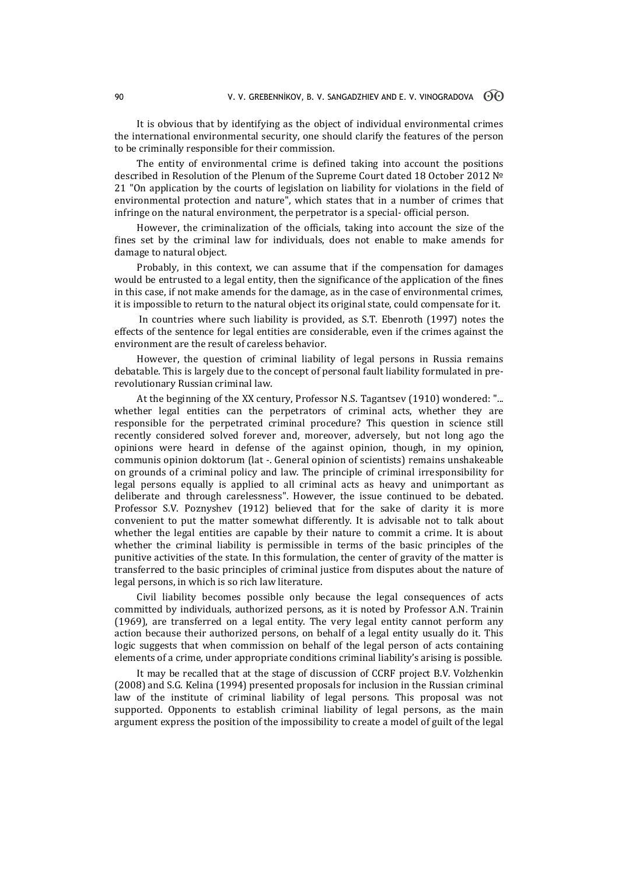It is obvious that by identifying as the object of individual environmental crimes the international environmental security, one should clarify the features of the person to be criminally responsible for their commission.

The entity of environmental crime is defined taking into account the positions described in Resolution of the Plenum of the Supreme Court dated 18 October 2012 № 21 "On application by the courts of legislation on liability for violations in the field of environmental protection and nature", which states that in a number of crimes that infringe on the natural environment, the perpetrator is a special- official person.

However, the criminalization of the officials, taking into account the size of the fines set by the criminal law for individuals, does not enable to make amends for damage to natural object.

Probably, in this context, we can assume that if the compensation for damages would be entrusted to a legal entity, then the significance of the application of the fines in this case, if not make amends for the damage, as in the case of environmental crimes, it is impossible to return to the natural object its original state, could compensate for it.

In countries where such liability is provided, as S.T. Ebenroth (1997) notes the effects of the sentence for legal entities are considerable, even if the crimes against the environment are the result of careless behavior.

However, the question of criminal liability of legal persons in Russia remains debatable. This is largely due to the concept of personal fault liability formulated in prerevolutionary Russian criminal law.

At the beginning of the XX century, Professor N.S. Tagantsev (1910) wondered: "... whether legal entities can the perpetrators of criminal acts, whether they are responsible for the perpetrated criminal procedure? This question in science still recently considered solved forever and, moreover, adversely, but not long ago the opinions were heard in defense of the against opinion, though, in my opinion, communis opinion doktorum (lat -. General opinion of scientists) remains unshakeable on grounds of a criminal policy and law. The principle of criminal irresponsibility for legal persons equally is applied to all criminal acts as heavy and unimportant as deliberate and through carelessness". However, the issue continued to be debated. Professor S.V. Poznyshev (1912) believed that for the sake of clarity it is more convenient to put the matter somewhat differently. It is advisable not to talk about whether the legal entities are capable by their nature to commit a crime. It is about whether the criminal liability is permissible in terms of the basic principles of the punitive activities of the state. In this formulation, the center of gravity of the matter is transferred to the basic principles of criminal justice from disputes about the nature of legal persons, in which is so rich law literature.

Civil liability becomes possible only because the legal consequences of acts committed by individuals, authorized persons, as it is noted by Professor A.N. Trainin (1969), are transferred on a legal entity. The very legal entity cannot perform any action because their authorized persons, on behalf of a legal entity usually do it. This logic suggests that when commission on behalf of the legal person of acts containing elements of a crime, under appropriate conditions criminal liability's arising is possible.

It may be recalled that at the stage of discussion of CCRF project B.V. Volzhenkin (2008) and S.G. Kelina (1994) presented proposals for inclusion in the Russian criminal law of the institute of criminal liability of legal persons. This proposal was not supported. Opponents to establish criminal liability of legal persons, as the main argument express the position of the impossibility to create a model of guilt of the legal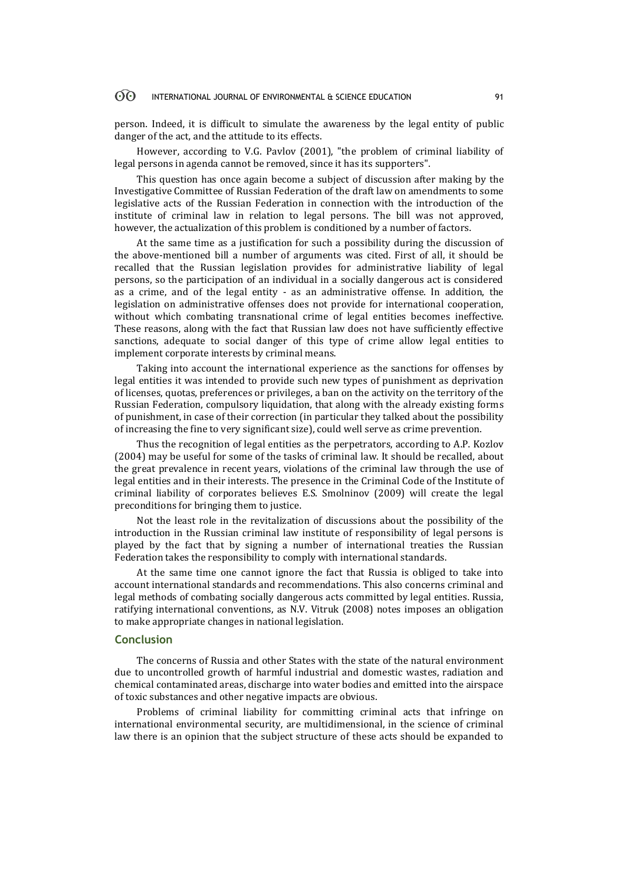#### 60 INTERNATIONAL JOURNAL OF ENVIRONMENTAL & SCIENCE EDUCATION 91

person. Indeed, it is difficult to simulate the awareness by the legal entity of public danger of the act, and the attitude to its effects.

However, according to V.G. Pavlov (2001), "the problem of criminal liability of legal persons in agenda cannot be removed, since it has its supporters".

This question has once again become a subject of discussion after making by the Investigative Committee of Russian Federation of the draft law on amendments to some legislative acts of the Russian Federation in connection with the introduction of the institute of criminal law in relation to legal persons. The bill was not approved, however, the actualization of this problem is conditioned by a number of factors.

At the same time as a justification for such a possibility during the discussion of the above-mentioned bill a number of arguments was cited. First of all, it should be recalled that the Russian legislation provides for administrative liability of legal persons, so the participation of an individual in a socially dangerous act is considered as a crime, and of the legal entity - as an administrative offense. In addition, the legislation on administrative offenses does not provide for international cooperation, without which combating transnational crime of legal entities becomes ineffective. These reasons, along with the fact that Russian law does not have sufficiently effective sanctions, adequate to social danger of this type of crime allow legal entities to implement corporate interests by criminal means.

Taking into account the international experience as the sanctions for offenses by legal entities it was intended to provide such new types of punishment as deprivation of licenses, quotas, preferences or privileges, a ban on the activity on the territory of the Russian Federation, compulsory liquidation, that along with the already existing forms of punishment, in case of their correction (in particular they talked about the possibility of increasing the fine to very significant size), could well serve as crime prevention.

Thus the recognition of legal entities as the perpetrators, according to A.P. Kozlov (2004) may be useful for some of the tasks of criminal law. It should be recalled, about the great prevalence in recent years, violations of the criminal law through the use of legal entities and in their interests. The presence in the Criminal Code of the Institute of criminal liability of corporates believes E.S. Smolninov (2009) will create the legal preconditions for bringing them to justice.

Not the least role in the revitalization of discussions about the possibility of the introduction in the Russian criminal law institute of responsibility of legal persons is played by the fact that by signing a number of international treaties the Russian Federation takes the responsibility to comply with international standards.

At the same time one cannot ignore the fact that Russia is obliged to take into account international standards and recommendations. This also concerns criminal and legal methods of combating socially dangerous acts committed by legal entities. Russia, ratifying international conventions, as N.V. Vitruk (2008) notes imposes an obligation to make appropriate changes in national legislation.

### **Conclusion**

The concerns of Russia and other States with the state of the natural environment due to uncontrolled growth of harmful industrial and domestic wastes, radiation and chemical contaminated areas, discharge into water bodies and emitted into the airspace of toxic substances and other negative impacts are obvious.

Problems of criminal liability for committing criminal acts that infringe on international environmental security, are multidimensional, in the science of criminal law there is an opinion that the subject structure of these acts should be expanded to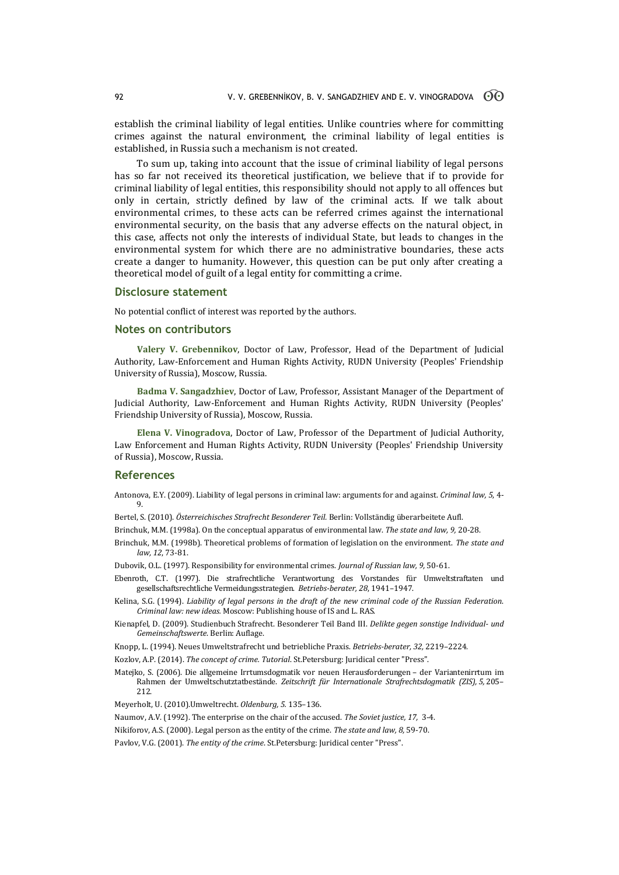establish the criminal liability of legal entities. Unlike countries where for committing crimes against the natural environment, the criminal liability of legal entities is established, in Russia such a mechanism is not created.

To sum up, taking into account that the issue of criminal liability of legal persons has so far not received its theoretical justification, we believe that if to provide for criminal liability of legal entities, this responsibility should not apply to all offences but only in certain, strictly defined by law of the criminal acts. If we talk about environmental crimes, to these acts can be referred crimes against the international environmental security, on the basis that any adverse effects on the natural object, in this case, affects not only the interests of individual State, but leads to changes in the environmental system for which there are no administrative boundaries, these acts create a danger to humanity. However, this question can be put only after creating a theoretical model of guilt of a legal entity for committing a crime.

### **Disclosure statement**

No potential conflict of interest was reported by the authors.

### **Notes on contributors**

**Valery V. Grebennikov**, Doctor of Law, Professor, Head of the Department of Judicial Authority, Law-Enforcement and Human Rights Activity, RUDN University (Peoples' Friendship University of Russia), Moscow, Russia.

**Badma V. Sangadzhiev**, Doctor of Law, Professor, Assistant Manager of the Department of Judicial Authority, Law-Enforcement and Human Rights Activity, RUDN University (Peoples' Friendship University of Russia), Moscow, Russia.

**Elena V. Vinogradova**, Doctor of Law, Professor of the Department of Judicial Authority, Law Enforcement and Human Rights Activity, RUDN University (Peoples' Friendship University of Russia), Moscow, Russia.

## **References**

Antonova, E.Y. (2009). Liability of legal persons in criminal law: arguments for and against. *Criminal law, 5*, 4- 9.

- Bertel, S. (2010). *Österreichisches Strafrecht Besonderer Teil.* Berlin: Vollständig überarbeitete Aufl.
- Brinchuk, M.M. (1998a). On the conceptual apparatus of environmental law. *The state and law, 9,* 20-28.
- Brinchuk, M.M. (1998b). Theoretical problems of formation of legislation on the environment. *The state and law, 12*, 73-81.
- Dubovik, O.L. (1997). Responsibility for environmental crimes. *Journal of Russian law, 9,* 50-61.
- Ebenroth, C.T. (1997). Die strafrechtliche Verantwortung des Vorstandes für Umweltstraftaten und gesellschaftsrechtliche Vermeidungsstrategien. *Betriebs-berater, 28*, 1941–1947.
- Kelina, S.G. (1994). *Liability of legal persons in the draft of the new criminal code of the Russian Federation*. *Criminal law: new ideas.* Moscow: Publishing house of IS and L. RAS.
- Kienapfel, D. (2009). Studienbuch Strafrecht. Besonderer Teil Band III. *Delikte gegen sonstige Individual- und Gemeinschaftswerte*. Berlin: Auflage.

Knopp, L. (1994). Neues Umweltstrafrecht und betriebliche Praxis. *Betriebs-berater, 32,* 2219–2224.

- Kozlov, A.P. (2014). *The concept of crime. Tutorial*. St.Petersburg: Juridical center "Press".
- Matejko, S. (2006). Die allgemeine Irrtumsdogmatik vor neuen Herausforderungen der Variantenirrtum im Rahmen der Umweltschutztatbestände. *Zeitschrift für Internationale Strafrechtsdogmatik (ZIS), 5,* 205– 212.
- Meyerholt, U. (2010).Umweltrecht. *Oldenburg, 5.* 135–136.
- Naumov, A.V. (1992). The enterprise on the chair of the accused. *The Soviet justice, 17,* 3-4.
- Nikiforov, A.S. (2000). Legal person as the entity of the crime. *The state and law, 8,* 59-70.
- Pavlov, V.G. (2001). *The entity of the crime*. St.Petersburg: Juridical center "Press".